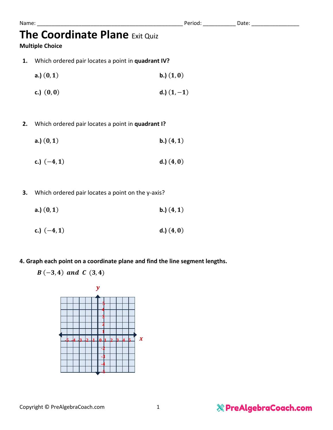## **The Coordinate Plane** Exit Quiz

### **Multiple Choice**

- **1.** Which ordered pair locates a point in **quadrant IV?**
	- **a.**)  $(0, 1)$  **b.**)  $(1, 0)$
	- **c.**)  $(0, 0)$  **d.**)  $(1, -1)$

### **2.** Which ordered pair locates a point in **quadrant I?**

- **a.**)  $(0, 1)$  **b.**)  $(4, 1)$
- **c.**)  $(-4, 1)$  **d.**)  $(4, 0)$
- **3.** Which ordered pair locates a point on the y-axis?
	- **a.**)  $(0, 1)$  **b.**)  $(4, 1)$
	- **c.**)  $(-4, 1)$  **d.**)  $(4, 0)$
- **4. Graph each point on a coordinate plane and find the line segment lengths.**
	- $B(-3, 4)$  and C  $(3, 4)$



Name: \_\_\_\_\_\_\_\_\_\_\_\_\_\_\_\_\_\_\_\_\_\_\_\_\_\_\_\_\_\_\_\_\_\_\_\_\_\_\_\_\_\_\_\_\_\_\_\_\_ Period: \_\_\_\_\_\_\_\_\_\_\_ Date: \_\_\_\_\_\_\_\_\_\_\_\_\_\_\_\_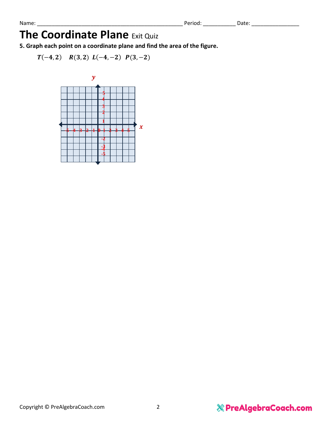## **The Coordinate Plane** Exit Quiz

**5. Graph each point on a coordinate plane and find the area of the figure.**

 $T(-4, 2)$   $R(3, 2)$   $L(-4, -2)$   $P(3, -2)$ 

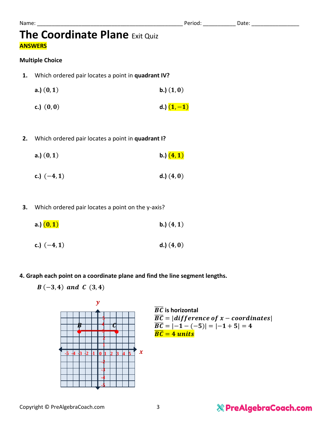Name: \_\_\_\_\_\_\_\_\_\_\_\_\_\_\_\_\_\_\_\_\_\_\_\_\_\_\_\_\_\_\_\_\_\_\_\_\_\_\_\_\_\_\_\_\_\_\_\_\_ Period: \_\_\_\_\_\_\_\_\_\_\_ Date: \_\_\_\_\_\_\_\_\_\_\_\_\_\_\_\_

## **The Coordinate Plane** Exit Quiz **ANSWERS**

#### **Multiple Choice**

- **1.** Which ordered pair locates a point in **quadrant IV?**
	- **a.**)  $(0, 1)$  **b.**)  $(1, 0)$
	- **c.**)  $(0, 0)$  **d.**)  $(1, -1)$
- **2.** Which ordered pair locates a point in **quadrant I?**
	- **a.**)  $(0, 1)$  **b.**)  $(4, 1)$
	- **c.**)  $(-4, 1)$  **d.**)  $(4, 0)$
- **3.** Which ordered pair locates a point on the y-axis?
	- **a.**)  $(0, 1)$  **b.**)  $(4, 1)$
	- **c.**)  $(-4, 1)$  **d.**)  $(4, 0)$
- **4. Graph each point on a coordinate plane and find the line segment lengths.**
	- $B(-3, 4)$  and C  $(3, 4)$



$$
\begin{array}{l|l}\n\hline\n\overline{BC} & \text{is horizontal} \\
\hline\n\overline{BC} &= |difference\ of\ x - coordinates| \\
\hline\n\overline{BC} &= |-1 - (-5)| = |-1 + 5| = 4 \\
\hline\n\overline{BC} &= 4 \text{ units}\n\end{array}
$$